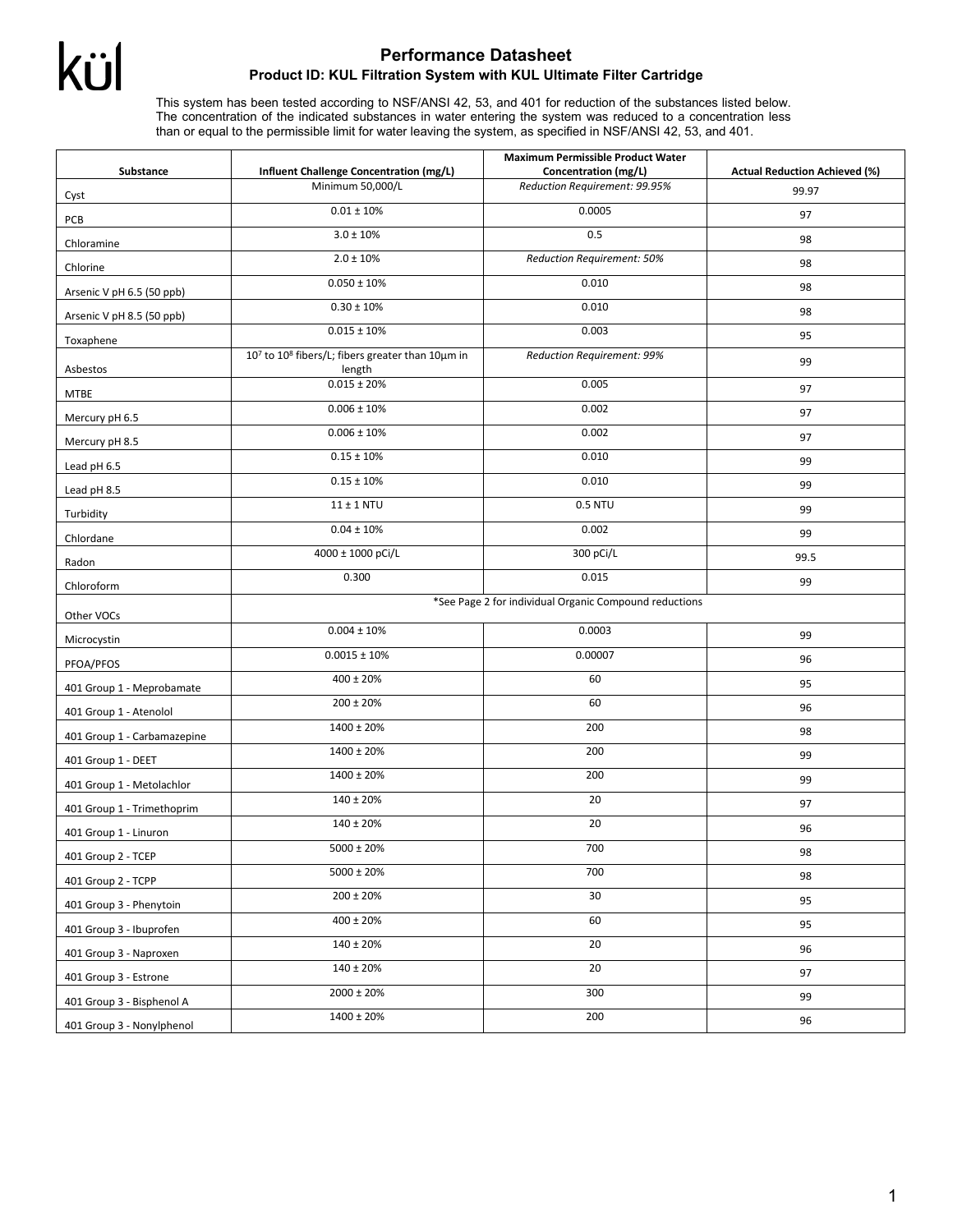## kül

## **Performance Datasheet Product ID: KUL Filtration System with KUL Ultimate Filter Cartridge**

This system has been tested according to NSF/ANSI 42, 53, and 401 for reduction of the substances listed below. The concentration of the indicated substances in water entering the system was reduced to a concentration less than or equal to the permissible limit for water leaving the system, as specified in NSF/ANSI 42, 53, and 401.

| Substance                   | Influent Challenge Concentration (mg/L)                                            | <b>Maximum Permissible Product Water</b><br>Concentration (mg/L) | <b>Actual Reduction Achieved (%)</b> |  |
|-----------------------------|------------------------------------------------------------------------------------|------------------------------------------------------------------|--------------------------------------|--|
|                             | Minimum 50,000/L                                                                   | Reduction Requirement: 99.95%                                    | 99.97                                |  |
| Cyst<br>PCB                 | $0.01 \pm 10\%$                                                                    | 0.0005                                                           | 97                                   |  |
| Chloramine                  | $3.0 \pm 10\%$                                                                     | 0.5                                                              | 98                                   |  |
| Chlorine                    | $2.0 \pm 10\%$                                                                     | Reduction Requirement: 50%                                       | 98                                   |  |
| Arsenic V pH 6.5 (50 ppb)   | $0.050 \pm 10\%$                                                                   | 0.010                                                            | 98                                   |  |
| Arsenic V pH 8.5 (50 ppb)   | $0.30 \pm 10 \%$                                                                   | 0.010                                                            | 98                                   |  |
| Toxaphene                   | $0.015 \pm 10\%$                                                                   | 0.003                                                            | 95                                   |  |
| Asbestos                    | 10 <sup>7</sup> to 10 <sup>8</sup> fibers/L; fibers greater than 10μm in<br>length | Reduction Requirement: 99%                                       | 99                                   |  |
| <b>MTBE</b>                 | $0.015 \pm 20\%$                                                                   | 0.005                                                            | 97                                   |  |
| Mercury pH 6.5              | $0.006 \pm 10\%$                                                                   | 0.002                                                            | 97                                   |  |
| Mercury pH 8.5              | $0.006 \pm 10\%$                                                                   | 0.002                                                            | 97                                   |  |
| Lead pH 6.5                 | $0.15 \pm 10\%$                                                                    | 0.010                                                            | 99                                   |  |
| Lead pH 8.5                 | $0.15 \pm 10\%$                                                                    | 0.010                                                            | 99                                   |  |
| Turbidity                   | $11 \pm 1$ NTU                                                                     | <b>0.5 NTU</b>                                                   | 99                                   |  |
| Chlordane                   | $0.04 \pm 10\%$                                                                    | 0.002                                                            | 99                                   |  |
| Radon                       | 4000 ± 1000 pCi/L                                                                  | 300 pCi/L                                                        | 99.5                                 |  |
| Chloroform                  | 0.300                                                                              | 0.015                                                            | 99                                   |  |
| Other VOCs                  | *See Page 2 for individual Organic Compound reductions                             |                                                                  |                                      |  |
| Microcystin                 | $0.004 \pm 10\%$                                                                   | 0.0003                                                           | 99                                   |  |
| PFOA/PFOS                   | $0.0015 \pm 10\%$                                                                  | 0.00007                                                          | 96                                   |  |
| 401 Group 1 - Meprobamate   | $400 \pm 20%$                                                                      | 60                                                               | 95                                   |  |
| 401 Group 1 - Atenolol      | $200 \pm 20\%$                                                                     | 60                                                               | 96                                   |  |
| 401 Group 1 - Carbamazepine | 1400 ± 20%                                                                         | 200                                                              | 98                                   |  |
| 401 Group 1 - DEET          | 1400 ± 20%                                                                         | 200                                                              | 99                                   |  |
| 401 Group 1 - Metolachlor   | 1400 ± 20%                                                                         | 200                                                              | 99                                   |  |
| 401 Group 1 - Trimethoprim  | 140 ± 20%                                                                          | 20                                                               | 97                                   |  |
| 401 Group 1 - Linuron       | 140 ± 20%                                                                          | 20                                                               | 96                                   |  |
| 401 Group 2 - TCEP          | $5000 \pm 20\%$                                                                    | 700                                                              | 98                                   |  |
| 401 Group 2 - TCPP          | $5000 \pm 20\%$                                                                    | 700                                                              | 98                                   |  |
| 401 Group 3 - Phenytoin     | $200 \pm 20\%$                                                                     | 30                                                               | 95                                   |  |
| 401 Group 3 - Ibuprofen     | $400 \pm 20\%$                                                                     | 60                                                               | 95                                   |  |
| 401 Group 3 - Naproxen      | $140 \pm 20\%$                                                                     | 20                                                               | 96                                   |  |
| 401 Group 3 - Estrone       | $140 \pm 20\%$                                                                     | 20                                                               | 97                                   |  |
| 401 Group 3 - Bisphenol A   | $2000 \pm 20\%$                                                                    | 300                                                              | 99                                   |  |
| 401 Group 3 - Nonylphenol   | $1400 \pm 20 \%$                                                                   | 200                                                              | 96                                   |  |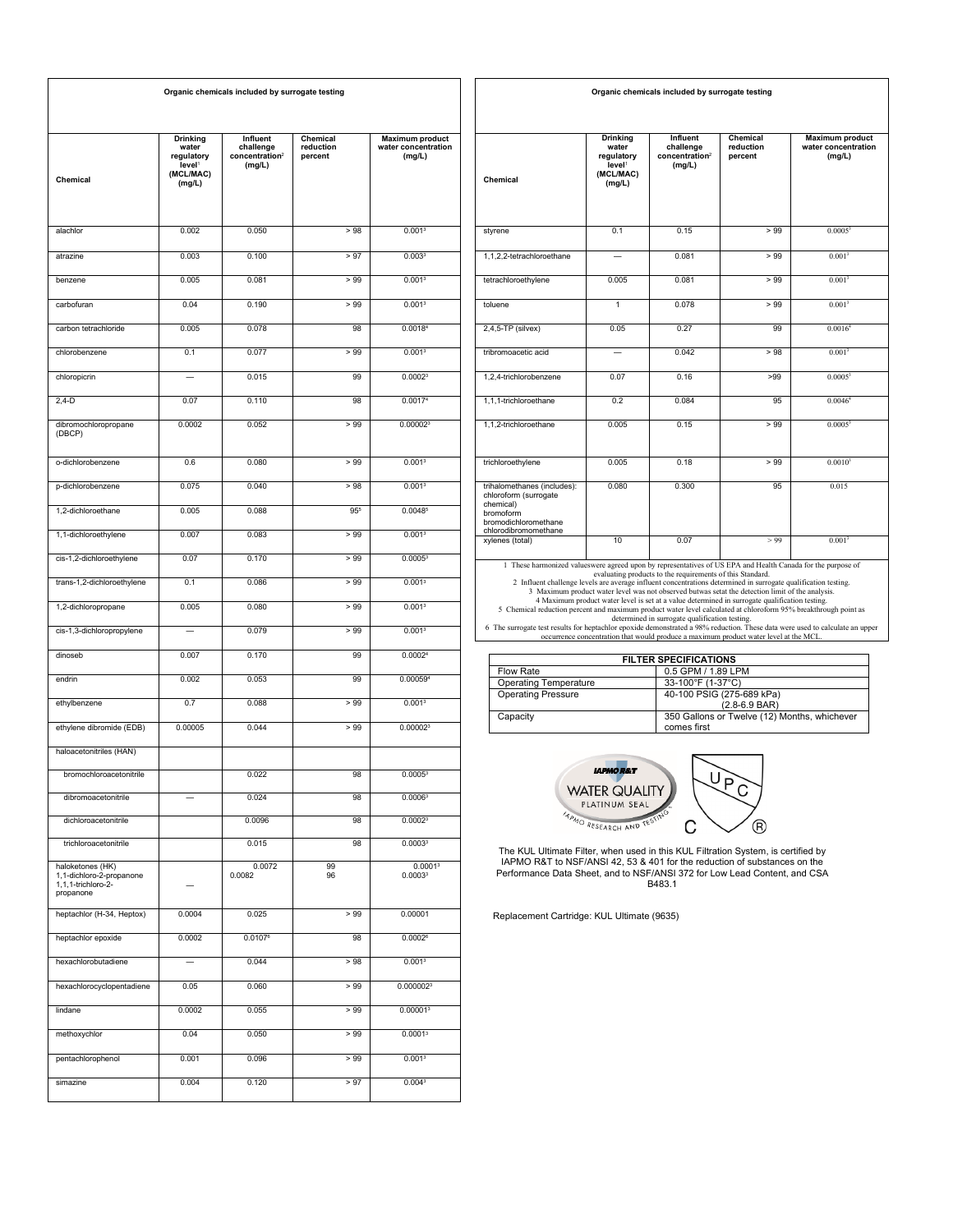| Organic chemicals included by surrogate testing                                 |                                                                                     |                                                               |                                  |                                                         |
|---------------------------------------------------------------------------------|-------------------------------------------------------------------------------------|---------------------------------------------------------------|----------------------------------|---------------------------------------------------------|
| Chemical                                                                        | <b>Drinking</b><br>water<br>regulatory<br>level <sup>1</sup><br>(MCL/MAC)<br>(mg/L) | Influent<br>challenge<br>concentration <sup>2</sup><br>(mg/L) | Chemical<br>reduction<br>percent | <b>Maximum product</b><br>water concentration<br>(mg/L) |
| alachlor                                                                        | 0.002                                                                               | 0.050                                                         | >98                              | 0.001 <sup>3</sup>                                      |
| atrazine                                                                        | 0.003                                                                               | 0.100                                                         | > 97                             | 0.003 <sup>3</sup>                                      |
| benzene                                                                         | 0.005                                                                               | 0.081                                                         | > 99                             | 0.001 <sup>3</sup>                                      |
| carbofuran                                                                      | 0.04                                                                                | 0.190                                                         | >99                              | 0.001 <sup>3</sup>                                      |
| carbon tetrachloride                                                            | 0.005                                                                               | 0.078                                                         | 98                               | 0.00184                                                 |
| chlorobenzene                                                                   | 0.1                                                                                 | 0.077                                                         | >99                              | 0.001 <sup>3</sup>                                      |
| chloropicrin                                                                    |                                                                                     | 0.015                                                         | 99                               | 0.0002 <sup>3</sup>                                     |
| $2,4-D$                                                                         | 0.07                                                                                | 0.110                                                         | 98                               | 0.00174                                                 |
| dibromochloropropane<br>(DBCP)                                                  | 0.0002                                                                              | 0.052                                                         | > 99                             | 0.000023                                                |
| o-dichlorobenzene                                                               | 0.6                                                                                 | 0.080                                                         | >99                              | 0.001 <sup>3</sup>                                      |
| p-dichlorobenzene                                                               | 0.075                                                                               | 0.040                                                         | > 98                             | 0.001 <sup>3</sup>                                      |
| 1,2-dichloroethane                                                              | 0.005                                                                               | 0.088                                                         | 955                              | 0.00485                                                 |
| 1,1-dichloroethylene                                                            | 0.007                                                                               | 0.083                                                         | > 99                             | 0.001 <sup>3</sup>                                      |
| cis-1,2-dichloroethylene                                                        | 0.07                                                                                | 0.170                                                         | >99                              | 0.0005 <sup>3</sup>                                     |
| trans-1,2-dichloroethylene                                                      | 0.1                                                                                 | 0.086                                                         | >99                              | 0.001 <sup>3</sup>                                      |
| 1,2-dichloropropane                                                             | 0.005                                                                               | 0.080                                                         | > 99                             | 0.001 <sup>3</sup>                                      |
| cis-1,3-dichloropropylene                                                       |                                                                                     | 0.079                                                         | >99                              | 0.001 <sup>3</sup>                                      |
| dinoseb                                                                         | 0.007                                                                               | 0.170                                                         | 99                               | 0.00024                                                 |
| endrin                                                                          | 0.002                                                                               | 0.053                                                         | 99                               | 0.000594                                                |
| ethylbenzene                                                                    | 0.7                                                                                 | 0.088                                                         | >99                              | 0.001 <sup>3</sup>                                      |
| ethylene dibromide (EDB)                                                        | 0.00005                                                                             | 0.044                                                         | >99                              | 0.00002 <sup>3</sup>                                    |
| haloacetonitriles (HAN)                                                         |                                                                                     |                                                               |                                  |                                                         |
| bromochloroacetonitrile                                                         |                                                                                     | 0.022                                                         | 98                               | 0.0005 <sup>3</sup>                                     |
| dibromoacetonitrile                                                             |                                                                                     | 0.024                                                         | 98                               | 0.0006 <sup>3</sup>                                     |
| dichloroacetonitrile                                                            |                                                                                     | 0.0096                                                        | 98                               | 0.0002 <sup>3</sup>                                     |
| trichloroacetonitrile                                                           |                                                                                     | 0.015                                                         | 98                               | 0.0003 <sup>3</sup>                                     |
| haloketones (HK)<br>1,1-dichloro-2-propanone<br>1,1,1-trichloro-2-<br>propanone |                                                                                     | 0.0072<br>0.0082                                              | 99<br>96                         | 0.0001 <sup>3</sup><br>0.00033                          |
| heptachlor (H-34, Heptox)                                                       | 0.0004                                                                              | 0.025                                                         | > 99                             | 0.00001                                                 |
| heptachlor epoxide                                                              | 0.0002                                                                              | 0.01076                                                       | 98                               | $0.0002$ <sup>6</sup>                                   |
| hexachlorobutadiene                                                             |                                                                                     | 0.044                                                         | > 98                             | 0.001 <sup>3</sup>                                      |
| hexachlorocyclopentadiene                                                       | 0.05                                                                                | 0.060                                                         | > 99                             | 0.0000023                                               |
| lindane                                                                         | 0.0002                                                                              | 0.055                                                         | >99                              | 0.00001 <sup>3</sup>                                    |
| methoxychlor                                                                    | 0.04                                                                                | 0.050                                                         | >99                              | 0.0001 <sup>3</sup>                                     |
| pentachlorophenol                                                               | 0.001                                                                               | 0.096                                                         | > 99                             | 0.001 <sup>3</sup>                                      |
| simazine                                                                        | 0.004                                                                               | 0.120                                                         | > 97                             | 0.0043                                                  |

| Chemical                                                                                                                                                                                                                                                                                                                                         | Drinking<br>water<br>regulatory<br>level <sup>1</sup><br>(MCL/MAC)<br>(mg/L) | <b>Influent</b><br>challenge<br>concentration <sup>2</sup><br>(ma/L)                                        | Chemical<br>reduction<br>percent                                                                                                                                                                   | <b>Maximum product</b><br>water concentration<br>(ma/L) |
|--------------------------------------------------------------------------------------------------------------------------------------------------------------------------------------------------------------------------------------------------------------------------------------------------------------------------------------------------|------------------------------------------------------------------------------|-------------------------------------------------------------------------------------------------------------|----------------------------------------------------------------------------------------------------------------------------------------------------------------------------------------------------|---------------------------------------------------------|
| styrene                                                                                                                                                                                                                                                                                                                                          | 0.1                                                                          | 0.15                                                                                                        | >99                                                                                                                                                                                                | 0.0005 <sup>3</sup>                                     |
| 1,1,2,2-tetrachloroethane                                                                                                                                                                                                                                                                                                                        |                                                                              | 0.081                                                                                                       | > 99                                                                                                                                                                                               | 0.001 <sup>3</sup>                                      |
| tetrachloroethylene                                                                                                                                                                                                                                                                                                                              | 0.005                                                                        | 0.081                                                                                                       | > 99                                                                                                                                                                                               | 0.001 <sup>3</sup>                                      |
| toluene                                                                                                                                                                                                                                                                                                                                          | 1                                                                            | 0.078                                                                                                       | > 99                                                                                                                                                                                               | $0.001^{3}$                                             |
| $2,4,5$ -TP (silvex)                                                                                                                                                                                                                                                                                                                             | 0.05                                                                         | 0.27                                                                                                        | 99                                                                                                                                                                                                 | 0.0016 <sup>4</sup>                                     |
| tribromoacetic acid                                                                                                                                                                                                                                                                                                                              |                                                                              | 0.042                                                                                                       | > 98                                                                                                                                                                                               | 0.001 <sup>3</sup>                                      |
| 1.2.4-trichlorobenzene                                                                                                                                                                                                                                                                                                                           | 0.07                                                                         | 0.16                                                                                                        | >99                                                                                                                                                                                                | $0.0005^3$                                              |
| 1.1.1-trichloroethane                                                                                                                                                                                                                                                                                                                            | 0.2                                                                          | 0.084                                                                                                       | 95                                                                                                                                                                                                 | 0.0046 <sup>4</sup>                                     |
| 1.1.2-trichloroethane                                                                                                                                                                                                                                                                                                                            | 0.005                                                                        | 0.15                                                                                                        | > 99                                                                                                                                                                                               | 0.0005 <sup>3</sup>                                     |
| trichloroethylene                                                                                                                                                                                                                                                                                                                                | 0.005                                                                        | 0.18                                                                                                        | > 99                                                                                                                                                                                               | 0.0010 <sup>3</sup>                                     |
| trihalomethanes (includes):<br>chloroform (surrogate<br>chemical)<br>bromoform<br>bromodichloromethane<br>chlorodibromomethane                                                                                                                                                                                                                   | 0.080                                                                        | 0.300                                                                                                       | 95                                                                                                                                                                                                 | 0.015                                                   |
| xylenes (total)                                                                                                                                                                                                                                                                                                                                  | 10                                                                           | 0.07                                                                                                        | > 99                                                                                                                                                                                               | 0.001 <sup>3</sup>                                      |
| 1 These harmonized valueswere agreed upon by representatives of US EPA and Health Canada for the purpose of<br>2 Influent challenge levels are average influent concentrations determined in surrogate qualification testing.<br>5 Chemical reduction percent and maximum product water level calculated at chloroform 95% breakthrough point as |                                                                              | evaluating products to the requirements of this Standard.<br>determined in surrogate qualification testing. | 3 Maximum product water level was not observed butwas setat the detection limit of the analysis.<br>4 Maximum product water level is set at a value determined in surrogate qualification testing. |                                                         |

**Organic chemicals included by surrogate testing**

determined in surrogate qualification testing.<br>6 The surrogate test results for heptachlor epoxide demonstrated a 98% reduction. These data were used to calculate an upper<br>occurrence concentration that would produce a maxi

| <b>FILTER SPECIFICATIONS</b> |                                              |  |
|------------------------------|----------------------------------------------|--|
| Flow Rate                    | 0.5 GPM / 1.89 LPM                           |  |
| <b>Operating Temperature</b> | 33-100°F (1-37°C)                            |  |
| <b>Operating Pressure</b>    | 40-100 PSIG (275-689 kPa)                    |  |
|                              | $(2.8 - 6.9$ BAR)                            |  |
| Capacity                     | 350 Gallons or Twelve (12) Months, whichever |  |
|                              | comes first                                  |  |



The KUL Ultimate Filter, when used in this KUL Filtration System, is certified by<br>IAPMO R&T to NSF/ANSI 42, 53 & 401 for the reduction of substances on the<br>Performance Data Sheet, and to NSF/ANSI 372 for Low Lead Content,

Replacement Cartridge: KUL Ultimate (9635)